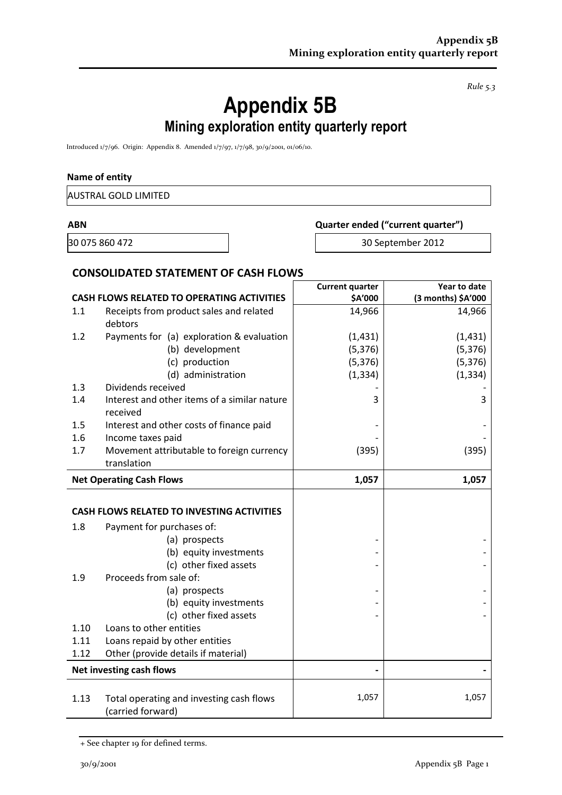*Rule 5.3*

# **Appendix 5B Mining exploration entity quarterly report**

Introduced 1/7/96. Origin: Appendix 8. Amended 1/7/97, 1/7/98, 30/9/2001, 01/06/10.

#### **Name of entity**

|                | <b>AUSTRAL GOLD LIMITED</b>                                   |                        |                                   |  |  |
|----------------|---------------------------------------------------------------|------------------------|-----------------------------------|--|--|
| <b>ABN</b>     |                                                               |                        | Quarter ended ("current quarter") |  |  |
| 30 075 860 472 |                                                               |                        | 30 September 2012                 |  |  |
|                | <b>CONSOLIDATED STATEMENT OF CASH FLOWS</b>                   |                        |                                   |  |  |
|                |                                                               | <b>Current quarter</b> | Year to date                      |  |  |
|                | <b>CASH FLOWS RELATED TO OPERATING ACTIVITIES</b>             | \$A'000                | (3 months) \$A'000                |  |  |
| 1.1            | Receipts from product sales and related<br>debtors            | 14,966                 | 14,966                            |  |  |
| 1.2            | Payments for (a) exploration & evaluation                     | (1, 431)               | (1, 431)                          |  |  |
|                | (b) development                                               | (5, 376)               | (5, 376)                          |  |  |
|                | (c) production                                                | (5, 376)               | (5, 376)                          |  |  |
|                | (d) administration                                            | (1, 334)               | (1, 334)                          |  |  |
| 1.3            | Dividends received                                            |                        |                                   |  |  |
| 1.4            | Interest and other items of a similar nature<br>received      | 3                      | 3                                 |  |  |
| 1.5            | Interest and other costs of finance paid                      |                        |                                   |  |  |
| 1.6            | Income taxes paid                                             |                        |                                   |  |  |
| 1.7            | Movement attributable to foreign currency                     | (395)                  | (395)                             |  |  |
|                | translation                                                   |                        |                                   |  |  |
|                | <b>Net Operating Cash Flows</b>                               | 1,057                  | 1,057                             |  |  |
|                | <b>CASH FLOWS RELATED TO INVESTING ACTIVITIES</b>             |                        |                                   |  |  |
| 1.8            | Payment for purchases of:                                     |                        |                                   |  |  |
|                | (a) prospects                                                 |                        |                                   |  |  |
|                | (b) equity investments                                        |                        |                                   |  |  |
|                | (c) other fixed assets                                        |                        |                                   |  |  |
| 1.9            | Proceeds from sale of:                                        |                        |                                   |  |  |
|                | (a) prospects                                                 |                        |                                   |  |  |
|                | (b) equity investments                                        |                        |                                   |  |  |
|                | (c) other fixed assets                                        |                        |                                   |  |  |
| 1.10           | Loans to other entities                                       |                        |                                   |  |  |
| 1.11           | Loans repaid by other entities                                |                        |                                   |  |  |
| 1.12           | Other (provide details if material)                           |                        |                                   |  |  |
|                | Net investing cash flows                                      |                        |                                   |  |  |
| 1.13           | Total operating and investing cash flows<br>(carried forward) | 1,057                  | 1,057                             |  |  |

<sup>+</sup> See chapter 19 for defined terms.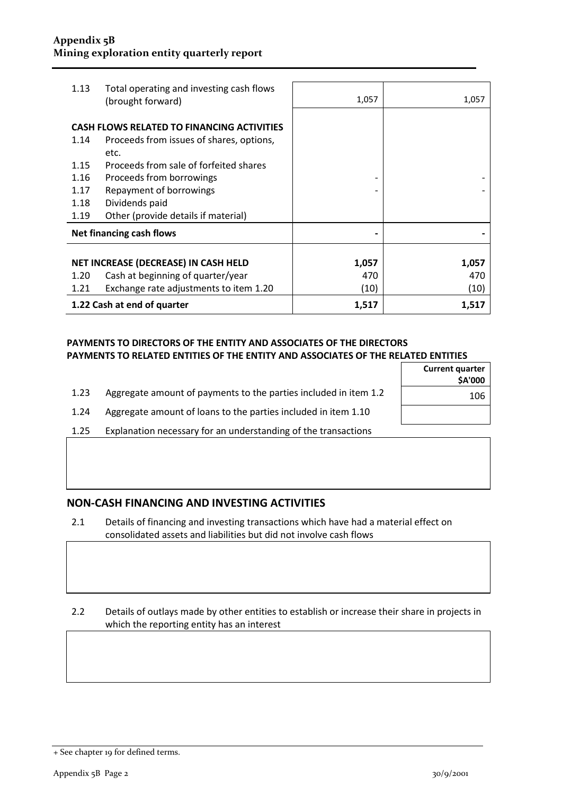| 1.13                                                                                                          | Total operating and investing cash flows<br>(brought forward) | 1,057 | 1,057 |
|---------------------------------------------------------------------------------------------------------------|---------------------------------------------------------------|-------|-------|
| <b>CASH FLOWS RELATED TO FINANCING ACTIVITIES</b><br>Proceeds from issues of shares, options,<br>1.14<br>etc. |                                                               |       |       |
| 1.15                                                                                                          | Proceeds from sale of forfeited shares                        |       |       |
| 1.16                                                                                                          | Proceeds from borrowings                                      |       |       |
| 1.17                                                                                                          | Repayment of borrowings                                       |       |       |
| 1.18                                                                                                          | Dividends paid                                                |       |       |
| 1.19                                                                                                          | Other (provide details if material)                           |       |       |
| Net financing cash flows                                                                                      |                                                               |       |       |
|                                                                                                               |                                                               |       |       |
| NET INCREASE (DECREASE) IN CASH HELD                                                                          |                                                               | 1,057 | 1,057 |
| 1.20                                                                                                          | Cash at beginning of quarter/year                             | 470   | 470   |
| 1.21                                                                                                          | Exchange rate adjustments to item 1.20                        | (10)  | (10)  |
| 1.22 Cash at end of quarter                                                                                   |                                                               | 1,517 | 1,517 |

#### **PAYMENTS TO DIRECTORS OF THE ENTITY AND ASSOCIATES OF THE DIRECTORS PAYMENTS TO RELATED ENTITIES OF THE ENTITY AND ASSOCIATES OF THE RELATED ENTITIES**

|      |                                                                  | <b>Current quarter</b><br><b>SA'000</b> |
|------|------------------------------------------------------------------|-----------------------------------------|
| 1.23 | Aggregate amount of payments to the parties included in item 1.2 | 106                                     |
| 1.24 | Aggregate amount of loans to the parties included in item 1.10   |                                         |
| 1.25 | Explanation necessary for an understanding of the transactions   |                                         |

### **NON-CASH FINANCING AND INVESTING ACTIVITIES**

2.1 Details of financing and investing transactions which have had a material effect on consolidated assets and liabilities but did not involve cash flows

#### 2.2 Details of outlays made by other entities to establish or increase their share in projects in which the reporting entity has an interest

<sup>+</sup> See chapter 19 for defined terms.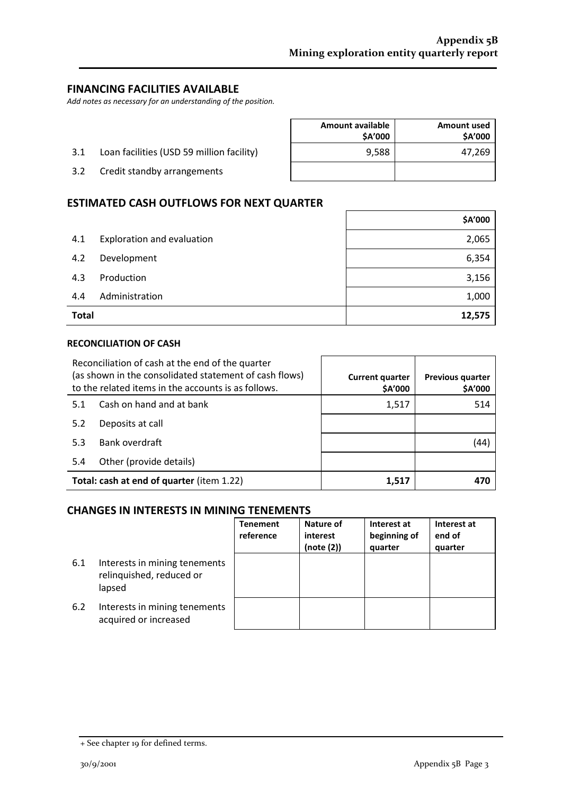# **FINANCING FACILITIES AVAILABLE**

*Add notes as necessary for an understanding of the position.*

- 3.1 Loan facilities (USD 59 million facility)
- 3.2 Credit standby arrangements

| <b>Amount available</b><br>\$A'000 | <b>Amount used</b><br>\$A'000 |
|------------------------------------|-------------------------------|
| 9,588                              | 47,269                        |
|                                    |                               |

 $\mathsf{r}$ 

 $\overline{\phantom{a}}$ 

#### **ESTIMATED CASH OUTFLOWS FOR NEXT QUARTER**

| <b>Total</b> |                            | 12,575  |
|--------------|----------------------------|---------|
| 4.4          | Administration             | 1,000   |
| 4.3          | Production                 | 3,156   |
| 4.2          | Development                | 6,354   |
| 4.1          | Exploration and evaluation | 2,065   |
|              |                            | \$A'000 |

#### **RECONCILIATION OF CASH**

| Reconciliation of cash at the end of the quarter<br>(as shown in the consolidated statement of cash flows)<br>to the related items in the accounts is as follows. |                          | <b>Current quarter</b><br>\$A'000 | <b>Previous quarter</b><br>\$A'000 |
|-------------------------------------------------------------------------------------------------------------------------------------------------------------------|--------------------------|-----------------------------------|------------------------------------|
| 5.1                                                                                                                                                               | Cash on hand and at bank | 1,517                             | 514                                |
| 5.2                                                                                                                                                               | Deposits at call         |                                   |                                    |
| 5.3                                                                                                                                                               | Bank overdraft           |                                   | (44)                               |
| 5.4                                                                                                                                                               | Other (provide details)  |                                   |                                    |
| Total: cash at end of quarter (item 1.22)                                                                                                                         |                          | 1,517                             | 470                                |

#### **CHANGES IN INTERESTS IN MINING TENEMENTS**

|     |                                                                     | <b>Tenement</b><br>reference | Nature of<br>interest<br>(note (2)) | Interest at<br>beginning of<br>quarter | Interest at<br>end of<br>quarter |
|-----|---------------------------------------------------------------------|------------------------------|-------------------------------------|----------------------------------------|----------------------------------|
| 6.1 | Interests in mining tenements<br>relinquished, reduced or<br>lapsed |                              |                                     |                                        |                                  |
| 6.2 | Interests in mining tenements<br>acquired or increased              |                              |                                     |                                        |                                  |

<sup>+</sup> See chapter 19 for defined terms.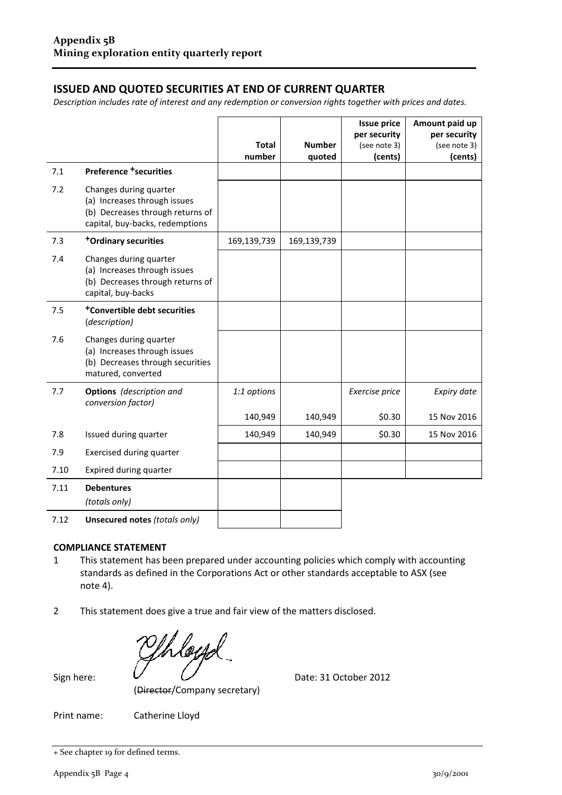# **ISSUED AND QUOTED SECURITIES AT END OF CURRENT QUARTER**

*Description includes rate of interest and any redemption or conversion rights together with prices and dates.*

|      |                                                                                                                               |              |               | <b>Issue price</b> | Amount paid up |
|------|-------------------------------------------------------------------------------------------------------------------------------|--------------|---------------|--------------------|----------------|
|      |                                                                                                                               |              |               | per security       | per security   |
|      |                                                                                                                               | <b>Total</b> | <b>Number</b> | (see note 3)       | (see note 3)   |
|      |                                                                                                                               | number       | quoted        | (cents)            | (cents)        |
| 7.1  | <b>Preference +securities</b>                                                                                                 |              |               |                    |                |
| 7.2  | Changes during quarter<br>(a) Increases through issues<br>(b) Decreases through returns of<br>capital, buy-backs, redemptions |              |               |                    |                |
| 7.3  | <sup>+</sup> Ordinary securities                                                                                              | 169,139,739  | 169,139,739   |                    |                |
| 7.4  | Changes during quarter<br>(a) Increases through issues<br>(b) Decreases through returns of<br>capital, buy-backs              |              |               |                    |                |
| 7.5  | <sup>+</sup> Convertible debt securities<br>(description)                                                                     |              |               |                    |                |
| 7.6  | Changes during quarter<br>(a) Increases through issues<br>(b) Decreases through securities<br>matured, converted              |              |               |                    |                |
| 7.7  | Options (description and<br>conversion factor)                                                                                | 1:1 options  |               | Exercise price     | Expiry date    |
|      |                                                                                                                               | 140,949      | 140,949       | \$0.30             | 15 Nov 2016    |
| 7.8  | Issued during quarter                                                                                                         | 140,949      | 140,949       | \$0.30             | 15 Nov 2016    |
| 7.9  | <b>Exercised during quarter</b>                                                                                               |              |               |                    |                |
| 7.10 | Expired during quarter                                                                                                        |              |               |                    |                |
| 7.11 | <b>Debentures</b><br>(totals only)                                                                                            |              |               |                    |                |
| 7.12 | Unsecured notes (totals only)                                                                                                 |              |               |                    |                |

#### **COMPLIANCE STATEMENT**

- 1 This statement has been prepared under accounting policies which comply with accounting standards as defined in the Corporations Act or other standards acceptable to ASX (see note 4).
- 2 This statement does give a true and fair view of the matters disclosed.

(Director/Company secretary)

Sign here: Date: 31 October 2012

Print name: Catherine Lloyd

+ See chapter 19 for defined terms.